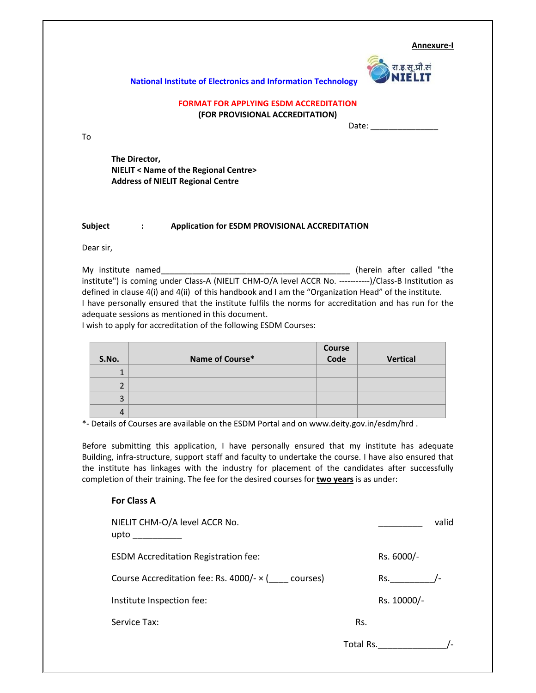**Annexure‐I**



## **National Institute of Electronics and Information Technology**

## **FORMAT FOR APPLYING ESDM ACCREDITATION (FOR PROVISIONAL ACCREDITATION)**

Date: \_\_\_\_\_\_\_\_\_\_\_\_\_\_\_

**The Director, NIELIT < Name of the Regional Centre> Address of NIELIT Regional Centre**

## **Subject : Application for ESDM PROVISIONAL ACCREDITATION**

Dear sir,

To

My institute named\_\_\_\_\_\_\_\_\_\_\_\_\_\_\_\_\_\_\_\_\_\_\_\_\_\_\_\_\_\_\_\_\_\_\_\_\_\_\_\_\_\_ (herein after called "the institute") is coming under Class-A (NIELIT CHM-O/A level ACCR No. -----------)/Class-B Institution as defined in clause 4(i) and 4(ii) of this handbook and I am the "Organization Head" of the institute. I have personally ensured that the institute fulfils the norms for accreditation and has run for the adequate sessions as mentioned in this document.

I wish to apply for accreditation of the following ESDM Courses:

|       |                 | Course |          |
|-------|-----------------|--------|----------|
| S.No. | Name of Course* | Code   | Vertical |
|       |                 |        |          |
|       |                 |        |          |
| 3     |                 |        |          |
| 4     |                 |        |          |

\*‐ Details of Courses are available on the ESDM Portal and on www.deity.gov.in/esdm/hrd .

Before submitting this application, I have personally ensured that my institute has adequate Building, infra‐structure, support staff and faculty to undertake the course. I have also ensured that the institute has linkages with the industry for placement of the candidates after successfully completion of their training. The fee for the desired courses for **two years** is as under:

## **For Class A**

| NIELIT CHM-O/A level ACCR No.<br>$upto$ $\qquad \qquad$ |           |             | valid |
|---------------------------------------------------------|-----------|-------------|-------|
| <b>ESDM Accreditation Registration fee:</b>             |           | Rs. 6000/-  |       |
| Course Accreditation fee: Rs. 4000/- $\times$ (courses) |           | Rs.         |       |
| Institute Inspection fee:                               |           | Rs. 10000/- |       |
| Service Tax:                                            | Rs.       |             |       |
|                                                         | Total Rs. |             |       |